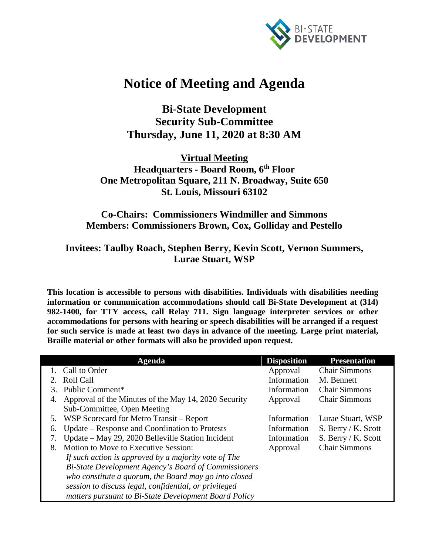

## **Notice of Meeting and Agenda**

**Bi-State Development Security Sub-Committee Thursday, June 11, 2020 at 8:30 AM**

**Virtual Meeting Headquarters - Board Room, 6th Floor One Metropolitan Square, 211 N. Broadway, Suite 650 St. Louis, Missouri 63102**

## **Co-Chairs: Commissioners Windmiller and Simmons Members: Commissioners Brown, Cox, Golliday and Pestello**

## **Invitees: Taulby Roach, Stephen Berry, Kevin Scott, Vernon Summers, Lurae Stuart, WSP**

**This location is accessible to persons with disabilities. Individuals with disabilities needing information or communication accommodations should call Bi-State Development at (314) 982-1400, for TTY access, call Relay 711. Sign language interpreter services or other accommodations for persons with hearing or speech disabilities will be arranged if a request for such service is made at least two days in advance of the meeting. Large print material, Braille material or other formats will also be provided upon request.**

|    | Agenda                                                | <b>Disposition</b> | <b>Presentation</b>  |
|----|-------------------------------------------------------|--------------------|----------------------|
|    | 1. Call to Order                                      | Approval           | <b>Chair Simmons</b> |
|    | <b>Roll Call</b>                                      | Information        | M. Bennett           |
| 3. | Public Comment*                                       | Information        | <b>Chair Simmons</b> |
| 4. | Approval of the Minutes of the May 14, 2020 Security  | Approval           | <b>Chair Simmons</b> |
|    | Sub-Committee, Open Meeting                           |                    |                      |
|    | 5. WSP Scorecard for Metro Transit – Report           | Information        | Lurae Stuart, WSP    |
| 6. | Update – Response and Coordination to Protests        | Information        | S. Berry / K. Scott  |
| 7. | Update – May 29, 2020 Belleville Station Incident     | Information        | S. Berry / K. Scott  |
| 8. | Motion to Move to Executive Session:                  | Approval           | <b>Chair Simmons</b> |
|    | If such action is approved by a majority vote of The  |                    |                      |
|    | Bi-State Development Agency's Board of Commissioners  |                    |                      |
|    | who constitute a quorum, the Board may go into closed |                    |                      |
|    | session to discuss legal, confidential, or privileged |                    |                      |
|    | matters pursuant to Bi-State Development Board Policy |                    |                      |